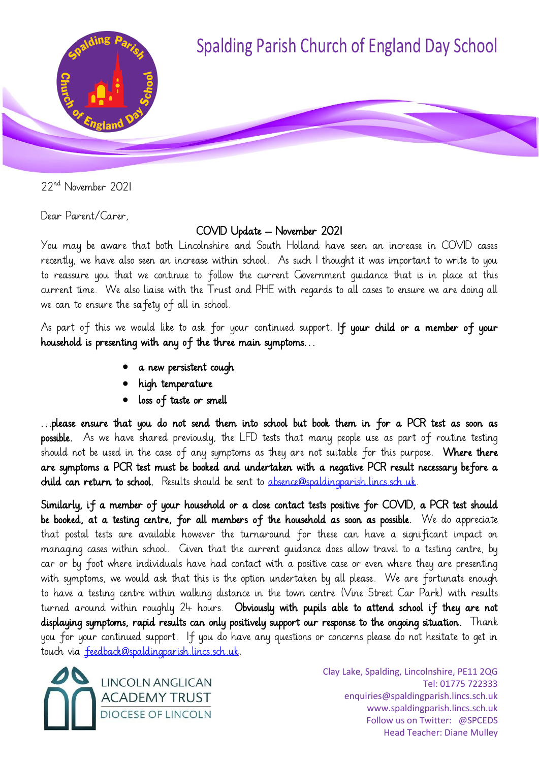

22nd November 2021

Dear Parent/Carer,

## COVID Update – November 2021

You may be aware that both Lincolnshire and South Holland have seen an increase in COVID cases recently, we have also seen an increase within school. As such I thought it was important to write to you to reassure you that we continue to follow the current Government guidance that is in place at this current time. We also liaise with the Trust and PHE with regards to all cases to ensure we are doing all we can to ensure the safety of all in school.

As part of this we would like to ask for your continued support. If your child or a member of your household is presenting with any of the three main symptoms…

- a new persistent cough
- high temperature
- loss of taste or smell

…please ensure that you do not send them into school but book them in for a PCR test as soon as possible. As we have shared previously, the LFD tests that many people use as part of routine testing should not be used in the case of any symptoms as they are not suitable for this purpose. Where there are symptoms a PCR test must be booked and undertaken with a negative PCR result necessary before a child can return to school. Results should be sent to [absence@spaldingparish.lincs.sch.uk.](mailto:absence@spaldingparish.lincs.sch.uk)

Similarly, if a member of your household or a close contact tests positive for COVID, a PCR test should be booked, at a testing centre, for all members of the household as soon as possible. We do appreciate that postal tests are available however the turnaround for these can have a significant impact on managing cases within school. Given that the current guidance does allow travel to a testing centre, by car or by foot where individuals have had contact with a positive case or even where they are presenting with symptoms, we would ask that this is the option undertaken by all please. We are fortunate enough to have a testing centre within walking distance in the town centre (Vine Street Car Park) with results turned around within roughly 24 hours. Obviously with pupils able to attend school if they are not displaying symptoms, rapid results can only positively support our response to the ongoing situation. Thank you for your continued support. If you do have any questions or concerns please do not hesitate to get in touch via [feedback@spaldingparish.lincs.sch.uk.](mailto:feedback@spaldingparish.lincs.sch.uk)

**LINCOLN ANGLICAN ACADEMY TRUST** DIOCESE OF LINCOLN

Clay Lake, Spalding, Lincolnshire, PE11 2QG Tel: 01775 722333 enquiries@spaldingparish.lincs.sch.uk www.spaldingparish.lincs.sch.uk Follow us on Twitter: @SPCEDS Head Teacher: Diane Mulley